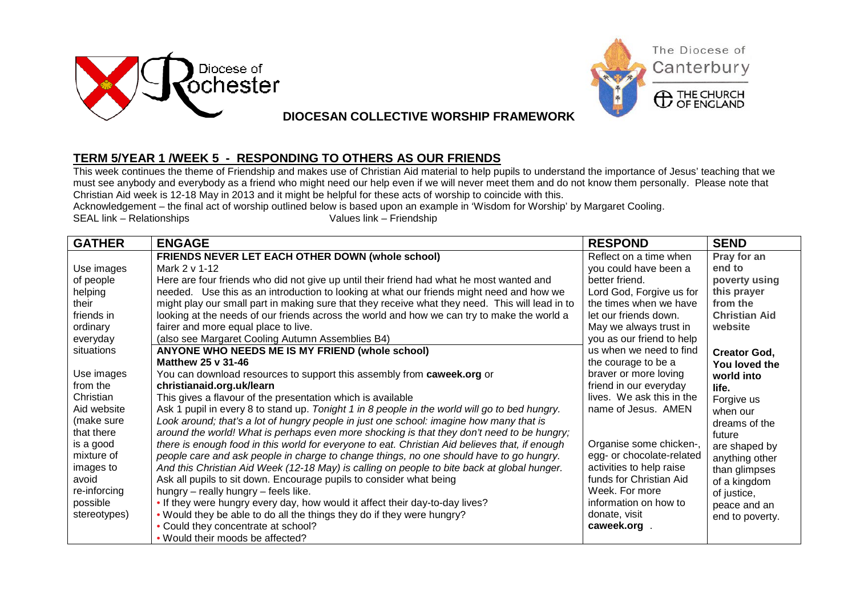



## **DIOCESAN COLLECTIVE WORSHIP FRAMEWORK**

## **TERM 5/YEAR 1 /WEEK 5 - RESPONDING TO OTHERS AS OUR FRIENDS**

This week continues the theme of Friendship and makes use of Christian Aid material to help pupils to understand the importance of Jesus' teaching that we must see anybody and everybody as a friend who might need our help even if we will never meet them and do not know them personally. Please note that Christian Aid week is 12-18 May in 2013 and it might be helpful for these acts of worship to coincide with this.

Acknowledgement – the final act of worship outlined below is based upon an example in 'Wisdom for Worship' by Margaret Cooling.<br>Values link – Friendship SEAL link – Relationships

| <b>GATHER</b> | <b>ENGAGE</b>                                                                                   | <b>RESPOND</b>            | <b>SEND</b>          |
|---------------|-------------------------------------------------------------------------------------------------|---------------------------|----------------------|
|               | FRIENDS NEVER LET EACH OTHER DOWN (whole school)                                                | Reflect on a time when    | Pray for an          |
| Use images    | Mark 2 v 1-12                                                                                   | you could have been a     | end to               |
| of people     | Here are four friends who did not give up until their friend had what he most wanted and        | better friend.            | poverty using        |
| helping       | needed. Use this as an introduction to looking at what our friends might need and how we        | Lord God, Forgive us for  | this prayer          |
| their         | might play our small part in making sure that they receive what they need. This will lead in to | the times when we have    | from the             |
| friends in    | looking at the needs of our friends across the world and how we can try to make the world a     | let our friends down.     | <b>Christian Aid</b> |
| ordinary      | fairer and more equal place to live.                                                            | May we always trust in    | website              |
| everyday      | (also see Margaret Cooling Autumn Assemblies B4)                                                | you as our friend to help |                      |
| situations    | ANYONE WHO NEEDS ME IS MY FRIEND (whole school)                                                 | us when we need to find   | <b>Creator God,</b>  |
|               | Matthew 25 v 31-46                                                                              | the courage to be a       | You loved the        |
| Use images    | You can download resources to support this assembly from caweek.org or                          | braver or more loving     | world into           |
| from the      | christianaid.org.uk/learn                                                                       | friend in our everyday    | life.                |
| Christian     | This gives a flavour of the presentation which is available                                     | lives. We ask this in the | Forgive us           |
| Aid website   | Ask 1 pupil in every 8 to stand up. Tonight 1 in 8 people in the world will go to bed hungry.   | name of Jesus. AMEN       | when our             |
| (make sure    | Look around; that's a lot of hungry people in just one school: imagine how many that is         |                           | dreams of the        |
| that there    | around the world! What is perhaps even more shocking is that they don't need to be hungry;      |                           | future               |
| is a good     | there is enough food in this world for everyone to eat. Christian Aid believes that, if enough  | Organise some chicken-,   | are shaped by        |
| mixture of    | people care and ask people in charge to change things, no one should have to go hungry.         | egg- or chocolate-related | anything other       |
| images to     | And this Christian Aid Week (12-18 May) is calling on people to bite back at global hunger.     | activities to help raise  | than glimpses        |
| avoid         | Ask all pupils to sit down. Encourage pupils to consider what being                             | funds for Christian Aid   | of a kingdom         |
| re-inforcing  | hungry - really hungry - feels like.                                                            | Week. For more            | of justice,          |
| possible      | . If they were hungry every day, how would it affect their day-to-day lives?                    | information on how to     | peace and an         |
| stereotypes)  | . Would they be able to do all the things they do if they were hungry?                          | donate, visit             | end to poverty.      |
|               | • Could they concentrate at school?                                                             | caweek.org                |                      |
|               | . Would their moods be affected?                                                                |                           |                      |